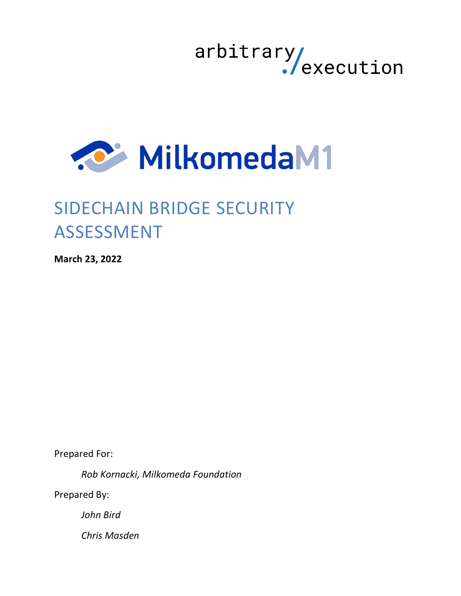



# SIDECHAIN BRIDGE SECURITY **ASSESSMENT**

**March 23, 2022**

Prepared For:

*Rob Kornacki, Milkomeda Foundation*

Prepared By:

*John Bird*

*Chris Masden*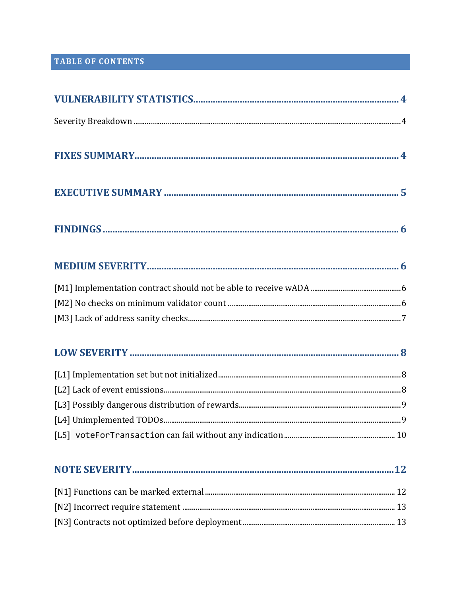# TABLE OF CONTENTS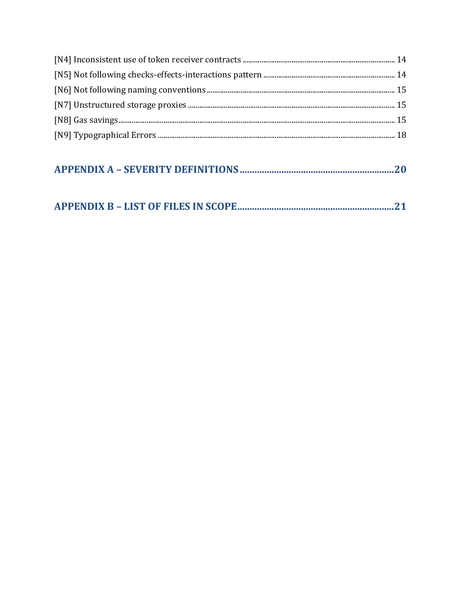#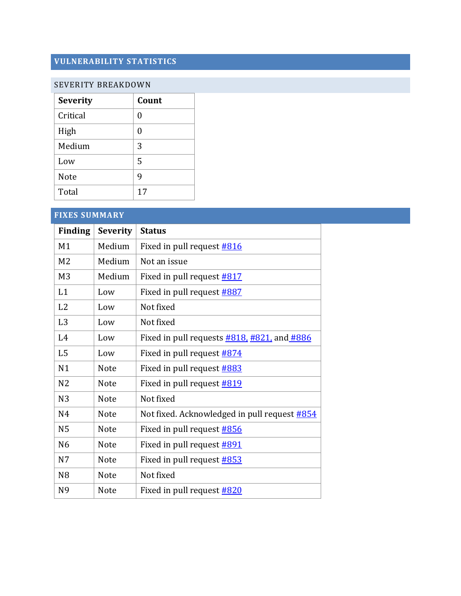# <span id="page-3-0"></span>**VULNERABILITY STATISTICS**

#### <span id="page-3-1"></span>SEVERITY BREAKDOWN

| <b>Severity</b> | Count |
|-----------------|-------|
| Critical        | 0     |
| High            | 0     |
| Medium          | 3     |
| Low             | 5     |
| <b>Note</b>     | 9     |
| Total           | 17    |

<span id="page-3-2"></span>

| <b>FIXES SUMMARY</b> |                 |                                                                        |
|----------------------|-----------------|------------------------------------------------------------------------|
| <b>Finding</b>       | <b>Severity</b> | <b>Status</b>                                                          |
| M1                   | Medium          | Fixed in pull request #816                                             |
| M <sub>2</sub>       | Medium          | Not an issue                                                           |
| M <sub>3</sub>       | Medium          | Fixed in pull request <b>#817</b>                                      |
| L1                   | Low             | Fixed in pull request #887                                             |
| L2                   | Low             | Not fixed                                                              |
| L <sub>3</sub>       | Low             | Not fixed                                                              |
| L4                   | Low             | Fixed in pull requests $\frac{\#818}{\#821}$ and $\frac{\#886}{\#821}$ |
| L <sub>5</sub>       | Low             | Fixed in pull request #874                                             |
| N <sub>1</sub>       | <b>Note</b>     | Fixed in pull request #883                                             |
| N <sub>2</sub>       | <b>Note</b>     | Fixed in pull request <b>#819</b>                                      |
| N <sub>3</sub>       | <b>Note</b>     | Not fixed                                                              |
| N <sub>4</sub>       | <b>Note</b>     | Not fixed. Acknowledged in pull request #854                           |
| N <sub>5</sub>       | <b>Note</b>     | Fixed in pull request #856                                             |
| N <sub>6</sub>       | <b>Note</b>     | Fixed in pull request <b>#891</b>                                      |
| N <sub>7</sub>       | <b>Note</b>     | Fixed in pull request #853                                             |
| N <sub>8</sub>       | <b>Note</b>     | Not fixed                                                              |
| N <sub>9</sub>       | <b>Note</b>     | Fixed in pull request <b>#820</b>                                      |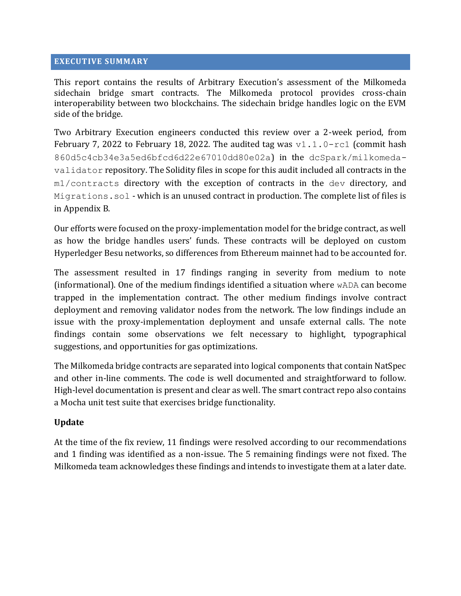#### <span id="page-4-0"></span>**EXECUTIVE SUMMARY**

This report contains the results of Arbitrary Execution's assessment of the Milkomeda sidechain bridge smart contracts. The Milkomeda protocol provides cross-chain interoperability between two blockchains. The sidechain bridge handles logic on the EVM side of the bridge.

Two Arbitrary Execution engineers conducted this review over a 2-week period, from February 7, 2022 to February 18, 2022. The audited tag was  $v1.1.0$ -rc1 (commit hash 860d5c4cb34e3a5ed6bfcd6d22e67010dd80e02a) in the dcSpark/milkomedavalidator repository. The Solidity files in scope for this audit included all contracts in the m1/contracts directory with the exception of contracts in the dev directory, and Migrations.sol - which is an unused contract in production. The complete list of files is in Appendix B.

Our efforts were focused on the proxy-implementation model for the bridge contract, as well as how the bridge handles users' funds. These contracts will be deployed on custom Hyperledger Besu networks, so differences from Ethereum mainnet had to be accounted for.

The assessment resulted in 17 findings ranging in severity from medium to note (informational). One of the medium findings identified a situation where wADA can become trapped in the implementation contract. The other medium findings involve contract deployment and removing validator nodes from the network. The low findings include an issue with the proxy-implementation deployment and unsafe external calls. The note findings contain some observations we felt necessary to highlight, typographical suggestions, and opportunities for gas optimizations.

The Milkomeda bridge contracts are separated into logical components that contain NatSpec and other in-line comments. The code is well documented and straightforward to follow. High-level documentation is present and clear as well. The smart contract repo also contains a Mocha unit test suite that exercises bridge functionality.

#### **Update**

At the time of the fix review, 11 findings were resolved according to our recommendations and 1 finding was identified as a non-issue. The 5 remaining findings were not fixed. The Milkomeda team acknowledges these findings and intends to investigate them at a later date.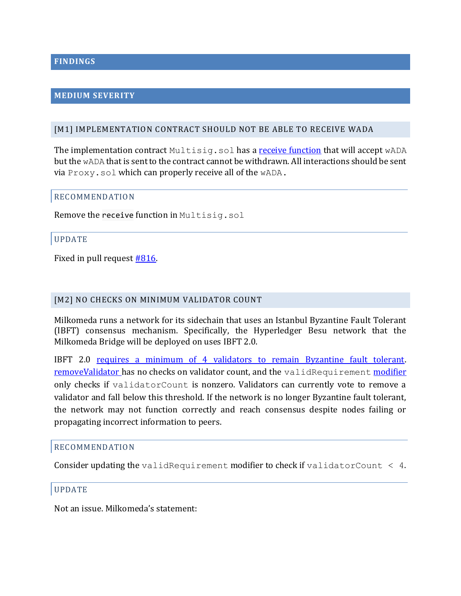#### <span id="page-5-1"></span><span id="page-5-0"></span>**MEDIUM SEVERITY**

#### <span id="page-5-2"></span>[M1] IMPLEMENTATION CONTRACT SHOULD NOT BE ABLE TO RECEIVE WADA

The implementation contract  $Multisiq.sol$  has a receive [function](https://github.com/dcSpark/milkomeda-validator/tree/860d5c4cb34e3a5ed6bfcd6d22e67010dd80e02a/m1/contracts/src/Multisig.sol#L68-L69) that will accept  $wADA$ but the wADA that is sent to the contract cannot be withdrawn. All interactions should be sent via Proxy.sol which can properly receive all of the wADA.

#### RECOMMENDATION

Remove the receive function in Multisig.sol

#### UPDATE

Fixed in pull request **#816**.

#### <span id="page-5-3"></span>[M2] NO CHECKS ON MINIMUM VALIDATOR COUNT

Milkomeda runs a network for its sidechain that uses an Istanbul Byzantine Fault Tolerant (IBFT) consensus mechanism. Specifically, the Hyperledger Besu network that the Milkomeda Bridge will be deployed on uses IBFT 2.0.

IBFT 2.0 [requires a minimum of 4 validators to remain Byzantine fault tolerant.](https://besu.hyperledger.org/en/stable/HowTo/Configure/Consensus-Protocols/IBFT/#minimum-number-of-validators) [removeValidator](https://github.com/dcSpark/milkomeda-validator/tree/860d5c4cb34e3a5ed6bfcd6d22e67010dd80e02a/m1/contracts/src/Multisig.sol#L92) has no checks on validator count, and the [validRequirement](https://github.com/dcSpark/milkomeda-validator/tree/860d5c4cb34e3a5ed6bfcd6d22e67010dd80e02a/m1/contracts/src/Multisig.sol#L63) [modifier](https://github.com/dcSpark/milkomeda-validator/tree/860d5c4cb34e3a5ed6bfcd6d22e67010dd80e02a/m1/contracts/src/Multisig.sol#L63) only checks if validatorCount is nonzero. Validators can currently vote to remove a validator and fall below this threshold. If the network is no longer Byzantine fault tolerant, the network may not function correctly and reach consensus despite nodes failing or propagating incorrect information to peers.

#### RECOMMENDATION

Consider updating the validRequirement modifier to check if validatorCount  $\leq 4$ .

#### UPDATE

Not an issue. Milkomeda's statement: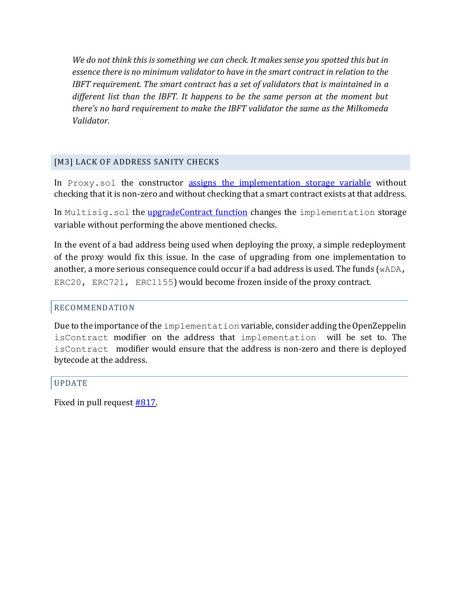*We do not think this is something we can check. It makes sense you spotted this but in essence there is no minimum validator to have in the smart contract in relation to the IBFT requirement. The smart contract has a set of validators that is maintained in a different list than the IBFT. It happens to be the same person at the moment but*  there's no hard requirement to make the IBFT validator the same as the Milkomeda *Validator.*

# <span id="page-6-0"></span>[M3] LACK OF ADDRESS SANITY CHECKS

In Proxy.sol the constructor [assigns the implementation](https://github.com/dcSpark/milkomeda-validator/tree/860d5c4cb34e3a5ed6bfcd6d22e67010dd80e02a/m1/contracts/src/proxy/Proxy.sol#L13) storage variable without checking that it is non-zero and without checking that a smart contract exists at that address.

In Multisig.sol the [upgradeContract](https://github.com/dcSpark/milkomeda-validator/tree/860d5c4cb34e3a5ed6bfcd6d22e67010dd80e02a/m1/contracts/src/Multisig.sol#L149) function changes the implementation storage variable without performing the above mentioned checks.

In the event of a bad address being used when deploying the proxy, a simple redeployment of the proxy would fix this issue. In the case of upgrading from one implementation to another, a more serious consequence could occur if a bad address is used. The funds ( $wADA$ , ERC20, ERC721, ERC1155) would become frozen inside of the proxy contract.

#### RECOMMENDATION

Due to the importance of the implementation variable, consider adding the OpenZeppelin isContract modifier on the address that implementation will be set to. The isContract modifier would ensure that the address is non-zero and there is deployed bytecode at the address.

#### UPDATE

Fixed in pull request **#817**.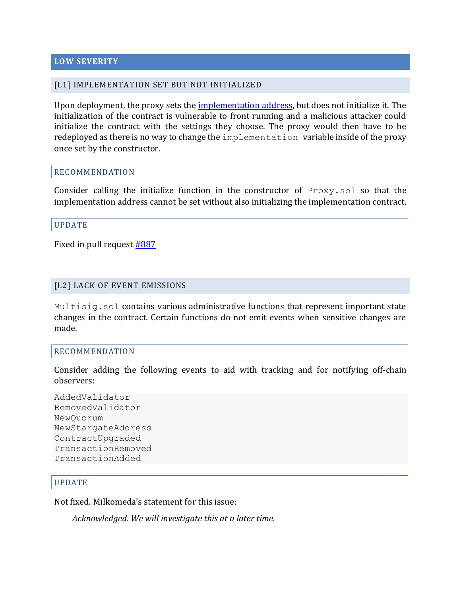#### <span id="page-7-0"></span>**LOW SEVERITY**

#### <span id="page-7-1"></span>[L1] IMPLEMENTATION SET BUT NOT INITIALIZED

Upon deployment, the proxy sets the [implementation](https://github.com/dcSpark/milkomeda-validator/tree/860d5c4cb34e3a5ed6bfcd6d22e67010dd80e02a/m1/contracts/src/proxy/Proxy.sol#L13) address, but does not initialize it. The initialization of the contract is vulnerable to front running and a malicious attacker could initialize the contract with the settings they choose. The proxy would then have to be redeployed as there is no way to change the implementation variable inside of the proxy once set by the constructor.

#### RECOMMENDATION

Consider calling the initialize function in the constructor of  $P_{TOXY, sol}$  so that the implementation address cannot be set without also initializing the implementation contract.

#### UPDATE

Fixed in pull request **#887** 

#### <span id="page-7-2"></span>[L2] LACK OF EVENT EMISSIONS

Multisig.sol contains various administrative functions that represent important state changes in the contract. Certain functions do not emit events when sensitive changes are made.

#### RECOMMENDATION

Consider adding the following events to aid with tracking and for notifying off-chain observers:

```
AddedValidator
RemovedValidator
NewQuorum
NewStargateAddress
ContractUpgraded
TransactionRemoved
TransactionAdded
```
#### UPDATE

Not fixed. Milkomeda's statement for this issue:

*Acknowledged. We will investigate this at a later time.*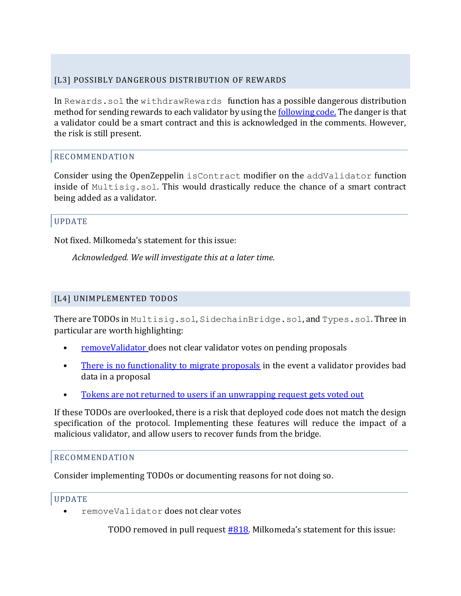# <span id="page-8-0"></span>[L3] POSSIBLY DANGEROUS DISTRIBUTION OF REWARDS

In Rewards.sol the withdrawRewards function has a possible dangerous distribution method for sending rewards to each validator by using th[e following code.](https://github.com/dcSpark/milkomeda-validator/tree/860d5c4cb34e3a5ed6bfcd6d22e67010dd80e02a/m1/contracts/src/Rewards.sol#L24) The danger is that a validator could be a smart contract and this is acknowledged in the comments. However, the risk is still present.

# RECOMMENDATION

Consider using the OpenZeppelin isContract modifier on the addValidator function inside of Multisig.sol. This would drastically reduce the chance of a smart contract being added as a validator.

#### UPDATE

Not fixed. Milkomeda's statement for this issue:

*Acknowledged. We will investigate this at a later time.*

### <span id="page-8-1"></span>[L4] UNIMPLEMENTED TODOS

There are TODOs in Multisig.sol, SidechainBridge.sol, and Types.sol. Three in particular are worth highlighting:

- [removeValidator](https://github.com/dcSpark/milkomeda-validator/tree/860d5c4cb34e3a5ed6bfcd6d22e67010dd80e02a/m1/contracts/src/Multisig.sol#L97) does not clear validator votes on pending proposals
- [There is no functionality to migrate proposals](https://github.com/dcSpark/milkomeda-validator/tree/860d5c4cb34e3a5ed6bfcd6d22e67010dd80e02a/m1/contracts/src/SidechainBridge.sol#L279) in the event a validator provides bad data in a proposal
- Ȉ [Tokens are not returned to users if an unwrapping request gets voted out](https://github.com/dcSpark/milkomeda-validator/tree/860d5c4cb34e3a5ed6bfcd6d22e67010dd80e02a/m1/contracts/src/SidechainBridge.sol#L178)

If these TODOs are overlooked, there is a risk that deployed code does not match the design specification of the protocol. Implementing these features will reduce the impact of a malicious validator, and allow users to recover funds from the bridge.

#### RECOMMENDATION

Consider implementing TODOs or documenting reasons for not doing so.

#### UPDATE

Ȉ removeValidator does not clear votes

TODO removed in pull request  $#818$ . Milkomeda's statement for this issue: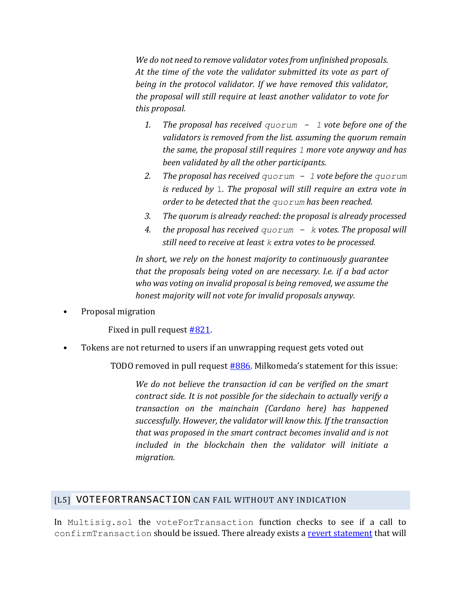*We do not need to remove validator votes from unfinished proposals. At the time of the vote the validator submitted its vote as part of being in the protocol validator. If we have removed this validator, the proposal will still require at least another validator to vote for this proposal.*

- *1. The proposal has received quorum - 1 vote before one of the validators is removed from the list. assuming the quorum remain the same, the proposal still requires 1 more vote anyway and has been validated by all the other participants.*
- *2. The proposal has received quorum - 1 vote before the quorum is reduced by* 1*. The proposal will still require an extra vote in order to be detected that the quorum has been reached.*
- *3. The quorum is already reached: the proposal is already processed*
- *4. the proposal has received quorum - k votes. The proposal will still need to receive at least k extra votes to be processed.*

*In short, we rely on the honest majority to continuously guarantee that the proposals being voted on are necessary. I.e. if a bad actor who was voting on invalid proposal is being removed, we assume the honest majority will not vote for invalid proposals anyway.*

Ȉ Proposal migration

Fixed in pull request  $#821$ .

Ȉ Tokens are not returned to users if an unwrapping request gets voted out

TODO removed in pull request [#886](https://github.com/dcSpark/milkomeda-validator/pull/886). Milkomeda's statement for this issue:

*We do not believe the transaction id can be verified on the smart contract side. It is not possible for the sidechain to actually verify a transaction on the mainchain (Cardano here) has happened successfully. However, the validator will know this. If the transaction that was proposed in the smart contract becomes invalid and is not included in the blockchain then the validator will initiate a migration.*

#### <span id="page-9-0"></span>[L5] VOTEFORTRANSACTION CAN FAIL WITHOUT ANY INDICATION

In Multisig.sol the voteForTransaction function checks to see if a call to confirmTransaction should be issued. There already exists a revert [statement](https://github.com/dcSpark/milkomeda-validator/tree/860d5c4cb34e3a5ed6bfcd6d22e67010dd80e02a/m1/contracts/src/Multisig.sol#L187-L189) that will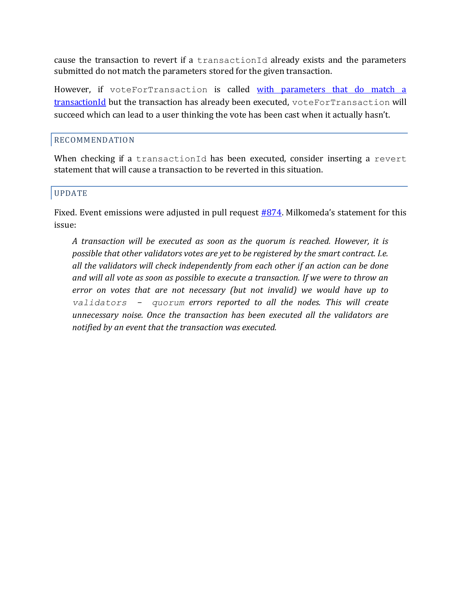cause the transaction to revert if a transactionId already exists and the parameters submitted do not match the parameters stored for the given transaction.

However, if voteForTransaction is called with parameters that do match a [transactionId](https://github.com/dcSpark/milkomeda-validator/tree/860d5c4cb34e3a5ed6bfcd6d22e67010dd80e02a/m1/contracts/src/Multisig.sol#L179-L184) but the transaction has already been executed, voteForTransaction will succeed which can lead to a user thinking the vote has been cast when it actually hasn't.

#### RECOMMENDATION

When checking if a transactionId has been executed, consider inserting a revert statement that will cause a transaction to be reverted in this situation.

#### UPDATE

Fixed. Event emissions were adjusted in pull request  $#874$ . Milkomeda's statement for this issue:

*A transaction will be executed as soon as the quorum is reached. However, it is possible that other validators votes are yet to be registered by the smart contract. I.e. all the validators will check independently from each other if an action can be done and will all vote as soon as possible to execute a transaction. If we were to throw an error on votes that are not necessary (but not invalid) we would have up to validators - quorum errors reported to all the nodes. This will create unnecessary noise. Once the transaction has been executed all the validators are notified by an event that the transaction was executed.*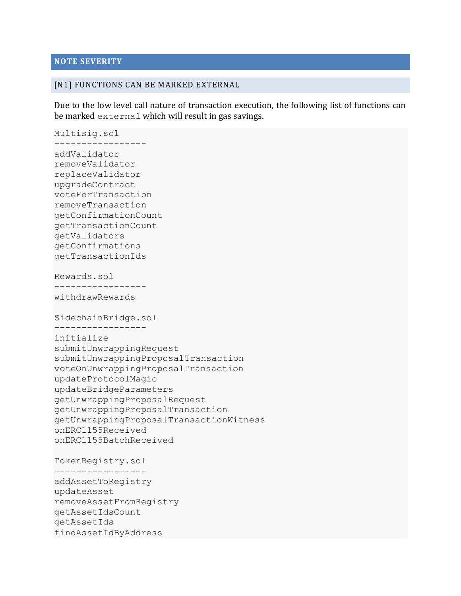#### <span id="page-11-0"></span>**NOTE SEVERITY**

#### <span id="page-11-1"></span>[N1] FUNCTIONS CAN BE MARKED EXTERNAL

Due to the low level call nature of transaction execution, the following list of functions can be marked external which will result in gas savings.

Multisig.sol ---------------- addValidator removeValidator replaceValidator upgradeContract voteForTransaction removeTransaction getConfirmationCount getTransactionCount getValidators getConfirmations getTransactionIds Rewards.sol ---------------- withdrawRewards SidechainBridge.sol ---------------- initialize submitUnwrappingRequest submitUnwrappingProposalTransaction voteOnUnwrappingProposalTransaction updateProtocolMagic updateBridgeParameters getUnwrappingProposalRequest getUnwrappingProposalTransaction getUnwrappingProposalTransactionWitness onERC1155Received onERC1155BatchReceived TokenRegistry.sol ---------------- addAssetToRegistry updateAsset removeAssetFromRegistry getAssetIdsCount getAssetIds findAssetIdByAddress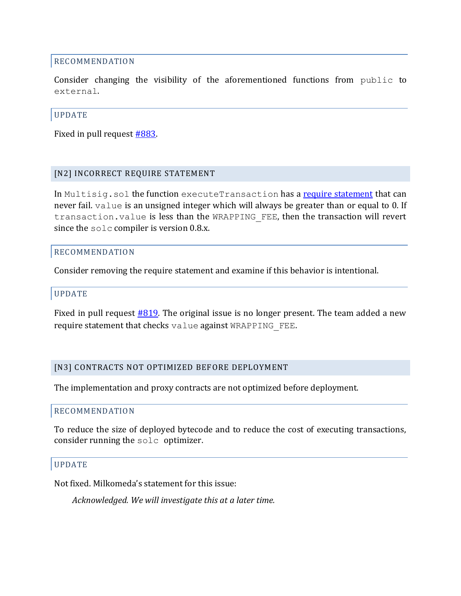#### RECOMMENDATION

Consider changing the visibility of the aforementioned functions from public to external.

#### UPDATE

Fixed in pull request [#883.](https://github.com/dcSpark/milkomeda-validator/pull/883)

#### <span id="page-12-0"></span>[N2] INCORRECT REQUIRE STATEMENT

In Multisig.sol the function executeTransaction has a [require statement](https://github.com/dcSpark/milkomeda-validator/tree/860d5c4cb34e3a5ed6bfcd6d22e67010dd80e02a/m1/contracts/src/Multisig.sol#L205-L208) that can never fail. value is an unsigned integer which will always be greater than or equal to 0. If transaction.value is less than the WRAPPING\_FEE, then the transaction will revert since the solc compiler is version 0.8.x.

#### RECOMMENDATION

Consider removing the require statement and examine if this behavior is intentional.

#### UPDATE

Fixed in pull request [#819](https://github.com/dcSpark/milkomeda-validator/pull/819)*.* The original issue is no longer present. The team added a new require statement that checks value against WRAPPING\_FEE.

#### <span id="page-12-1"></span>[N3] CONTRACTS NOT OPTIMIZED BEFORE DEPLOYMENT

The implementation and proxy contracts are not optimized before deployment.

#### RECOMMENDATION

To reduce the size of deployed bytecode and to reduce the cost of executing transactions, consider running the solc optimizer.

#### UPDATE

Not fixed. Milkomeda's statement for this issue:

*Acknowledged. We will investigate this at a later time.*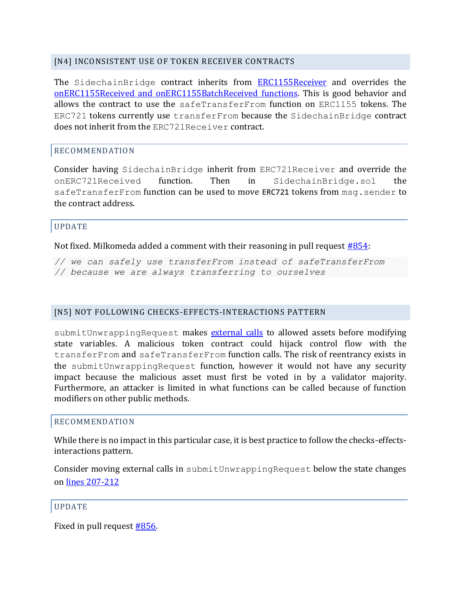#### <span id="page-13-0"></span>[N4] INCONSISTENT USE OF TOKEN RECEIVER CONTRACTS

The SidechainBridge contract inherits from **[ERC1155Receiver](https://github.com/dcSpark/milkomeda-validator/tree/860d5c4cb34e3a5ed6bfcd6d22e67010dd80e02a/m1/contracts/src/SidechainBridge.sol#L27)** and overrides the onERC1155Received [and onERC1155BatchReceived](https://github.com/dcSpark/milkomeda-validator/tree/860d5c4cb34e3a5ed6bfcd6d22e67010dd80e02a/m1/contracts/src/SidechainBridge.sol#L321-L340) functions. This is good behavior and allows the contract to use the safeTransferFrom function on ERC1155 tokens. The ERC721 tokens currently use transferFrom because the SidechainBridge contract does not inherit from the ERC721Receiver contract.

#### RECOMMENDATION

Consider having SidechainBridge inherit from ERC721Receiver and override the onERC721Received function. Then in SidechainBridge.sol the safeTransferFrom function can be used to move ERC721 tokens from msg.sender to the contract address.

#### UPDATE

Not fixed. Milkomeda added a comment with their reasoning in pull request [#854:](https://github.com/dcSpark/milkomeda-validator/pull/854)

*// we can safely use transferFrom instead of safeTransferFrom // because we are always transferring to ourselves*

#### <span id="page-13-1"></span>[N5] NOT FOLLOWING CHECKS-EFFECTS-INTERACTIONS PATTERN

submitUnwrappingRequest makes [external calls](https://github.com/dcSpark/milkomeda-validator/tree/860d5c4cb34e3a5ed6bfcd6d22e67010dd80e02a/m1/contracts/src/SidechainBridge.sol#L181-L205) to allowed assets before modifying state variables. A malicious token contract could hijack control flow with the transferFrom and safeTransferFrom function calls. The risk of reentrancy exists in the submitUnwrappingRequest function, however it would not have any security impact because the malicious asset must first be voted in by a validator majority. Furthermore, an attacker is limited in what functions can be called because of function modifiers on other public methods.

#### RECOMMENDATION

While there is no impact in this particular case, it is best practice to follow the checks-effectsinteractions pattern.

Consider moving external calls in submitUnwrappingRequest below the state changes o[n lines 207-212](https://github.com/dcSpark/milkomeda-validator/tree/860d5c4cb34e3a5ed6bfcd6d22e67010dd80e02a/m1/contracts/src/SidechainBridge.sol#L207-L212)

#### UPDATE

Fixed in pull request [#856.](https://github.com/dcSpark/milkomeda-validator/pull/856)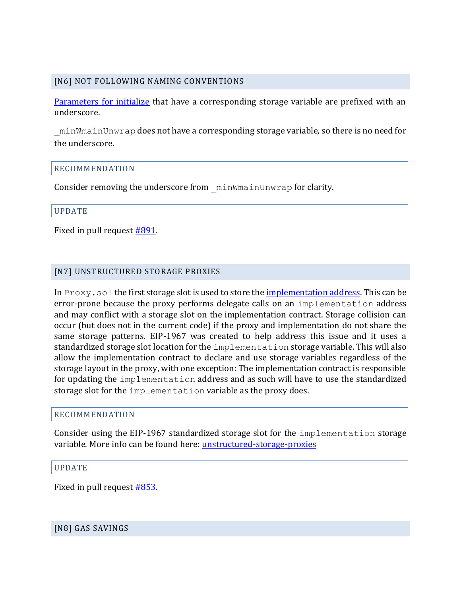#### <span id="page-14-0"></span>[N6] NOT FOLLOWING NAMING CONVENTIONS

[Parameters for initialize](https://github.com/dcSpark/milkomeda-validator/tree/860d5c4cb34e3a5ed6bfcd6d22e67010dd80e02a/m1/contracts/src/SidechainBridge.sol#L108-L115) that have a corresponding storage variable are prefixed with an underscore.

\_minWmainUnwrap does not have a corresponding storage variable, so there is no need for the underscore.

#### RECOMMENDATION

Consider removing the underscore from minWmainUnwrap for clarity.

#### UPDATE

Fixed in pull request [#891.](https://github.com/dcSpark/milkomeda-validator/pull/891)

#### <span id="page-14-1"></span>[N7] UNSTRUCTURED STORAGE PROXIES

In Proxy . sol the first storage slot is used to store the <u>implementation address</u>. This can be error-prone because the proxy performs delegate calls on an implementation address and may conflict with a storage slot on the implementation contract. Storage collision can occur (but does not in the current code) if the proxy and implementation do not share the same storage patterns. EIP-1967 was created to help address this issue and it uses a standardized storage slot location for the implementation storage variable. This will also allow the implementation contract to declare and use storage variables regardless of the storage layout in the proxy, with one exception: The implementation contract is responsible for updating the implementation address and as such will have to use the standardized storage slot for the implementation variable as the proxy does.

#### RECOMMENDATION

Consider using the EIP-1967 standardized storage slot for the implementation storage variable. More info can be found here: [unstructured-storage-proxies](https://docs.openzeppelin.com/upgrades-plugins/1.x/proxies#unstructured-storage-proxies)

#### UPDATE

Fixed in pull request [#853.](https://github.com/dcSpark/milkomeda-validator/pull/853)

#### <span id="page-14-2"></span>[N8] GAS SAVINGS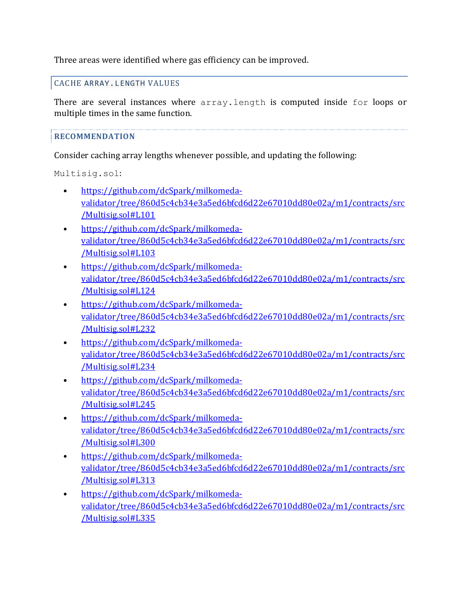Three areas were identified where gas efficiency can be improved.

CACHE ARRAY.LENGTH VALUES

There are several instances where array.length is computed inside for loops or multiple times in the same function.

# **RECOMMENDATION**

Consider caching array lengths whenever possible, and updating the following:

Multisig.sol:

- https://github.com/dcSpark/milkomedavalidator/tree/860d5c4cb34e3a5ed6bfcd6d22e67010dd80e02a/m1/contracts/src /Multisig.sol#L101
- Ȉ https://github.com/dcSpark/milkomedavalidator/tree/860d5c4cb34e3a5ed6bfcd6d22e67010dd80e02a/m1/contracts/src /Multisig.sol#L103
- Ȉ https://github.com/dcSpark/milkomedavalidator/tree/860d5c4cb34e3a5ed6bfcd6d22e67010dd80e02a/m1/contracts/src /Multisig.sol#L124
- https://github.com/dcSpark/milkomedavalidator/tree/860d5c4cb34e3a5ed6bfcd6d22e67010dd80e02a/m1/contracts/src /Multisig.sol#L232
- https://github.com/dcSpark/milkomedavalidator/tree/860d5c4cb34e3a5ed6bfcd6d22e67010dd80e02a/m1/contracts/src /Multisig.sol#L234
- https://github.com/dcSpark/milkomedavalidator/tree/860d5c4cb34e3a5ed6bfcd6d22e67010dd80e02a/m1/contracts/src /Multisig.sol#L245
- https://github.com/dcSpark/milkomedavalidator/tree/860d5c4cb34e3a5ed6bfcd6d22e67010dd80e02a/m1/contracts/src /Multisig.sol#L300
- Ȉ https://github.com/dcSpark/milkomedavalidator/tree/860d5c4cb34e3a5ed6bfcd6d22e67010dd80e02a/m1/contracts/src /Multisig.sol#L313
- Ȉ https://github.com/dcSpark/milkomedavalidator/tree/860d5c4cb34e3a5ed6bfcd6d22e67010dd80e02a/m1/contracts/src /Multisig.sol#L335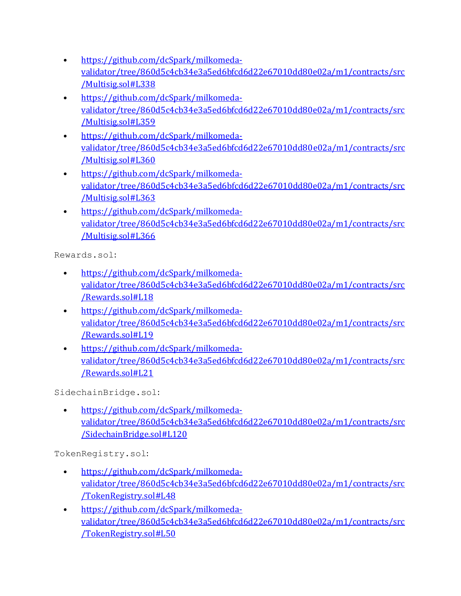- Ȉ https://github.com/dcSpark/milkomedavalidator/tree/860d5c4cb34e3a5ed6bfcd6d22e67010dd80e02a/m1/contracts/src /Multisig.sol#L338
- Ȉ https://github.com/dcSpark/milkomedavalidator/tree/860d5c4cb34e3a5ed6bfcd6d22e67010dd80e02a/m1/contracts/src /Multisig.sol#L359
- https://github.com/dcSpark/milkomedavalidator/tree/860d5c4cb34e3a5ed6bfcd6d22e67010dd80e02a/m1/contracts/src /Multisig.sol#L360
- https://github.com/dcSpark/milkomedavalidator/tree/860d5c4cb34e3a5ed6bfcd6d22e67010dd80e02a/m1/contracts/src /Multisig.sol#L363
- https://github.com/dcSpark/milkomedavalidator/tree/860d5c4cb34e3a5ed6bfcd6d22e67010dd80e02a/m1/contracts/src /Multisig.sol#L366

Rewards.sol:

- https://github.com/dcSpark/milkomedavalidator/tree/860d5c4cb34e3a5ed6bfcd6d22e67010dd80e02a/m1/contracts/src /Rewards.sol#L18
- https://github.com/dcSpark/milkomedavalidator/tree/860d5c4cb34e3a5ed6bfcd6d22e67010dd80e02a/m1/contracts/src /Rewards.sol#L19
- https://github.com/dcSpark/milkomedavalidator/tree/860d5c4cb34e3a5ed6bfcd6d22e67010dd80e02a/m1/contracts/src /Rewards.sol#L21

SidechainBridge.sol:

• https://github.com/dcSpark/milkomedavalidator/tree/860d5c4cb34e3a5ed6bfcd6d22e67010dd80e02a/m1/contracts/src /SidechainBridge.sol#L120

TokenRegistry.sol:

- https://github.com/dcSpark/milkomedavalidator/tree/860d5c4cb34e3a5ed6bfcd6d22e67010dd80e02a/m1/contracts/src /TokenRegistry.sol#L48
- https://github.com/dcSpark/milkomedavalidator/tree/860d5c4cb34e3a5ed6bfcd6d22e67010dd80e02a/m1/contracts/src /TokenRegistry.sol#L50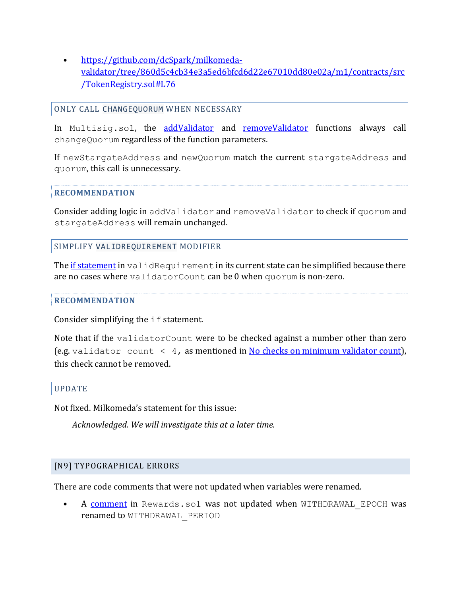Ȉ https://github.com/dcSpark/milkomedavalidator/tree/860d5c4cb34e3a5ed6bfcd6d22e67010dd80e02a/m1/contracts/src /TokenRegistry.sol#L76

#### ONLY CALL CHANGEQUORUM WHEN NECESSARY

In Multisig.sol, the [addValidator](https://github.com/dcSpark/milkomeda-validator/tree/860d5c4cb34e3a5ed6bfcd6d22e67010dd80e02a/m1/contracts/src/Multisig.sol#L85) and [removeValidator](https://github.com/dcSpark/milkomeda-validator/tree/860d5c4cb34e3a5ed6bfcd6d22e67010dd80e02a/m1/contracts/src/Multisig.sol#L92) functions always call changeQuorum regardless of the function parameters.

If newStargateAddress and newQuorum match the current stargateAddress and quorum, this call is unnecessary.

#### **RECOMMENDATION**

Consider adding logic in addValidator and removeValidator to check if quorum and stargateAddress will remain unchanged.

#### SIMPLIFY VALIDREQUIREMENT MODIFIER

The if [statement](https://github.com/dcSpark/milkomeda-validator/tree/860d5c4cb34e3a5ed6bfcd6d22e67010dd80e02a/m1/contracts/src/Multisig.sol#L63) in validRequirement in its current state can be simplified because there are no cases where validatorCount can be 0 when quorum is non-zero.

#### **RECOMMENDATION**

Consider simplifying the if statement.

Note that if the validatorCount were to be checked against a number other than zero (e.g. validator count  $\langle 4, \text{as mentioned in No checks on minimum validation count} \rangle$ , this check cannot be removed.

#### UPDATE

Not fixed. Milkomeda's statement for this issue:

*Acknowledged. We will investigate this at a later time.*

#### <span id="page-17-0"></span>[N9] TYPOGRAPHICAL ERRORS

There are code comments that were not updated when variables were renamed.

A [comment](https://github.com/dcSpark/milkomeda-validator/tree/860d5c4cb34e3a5ed6bfcd6d22e67010dd80e02a/m1/contracts/src/Rewards.sol#L12) in Rewards.sol was not updated when WITHDRAWAL EPOCH was renamed to WITHDRAWAL\_PERIOD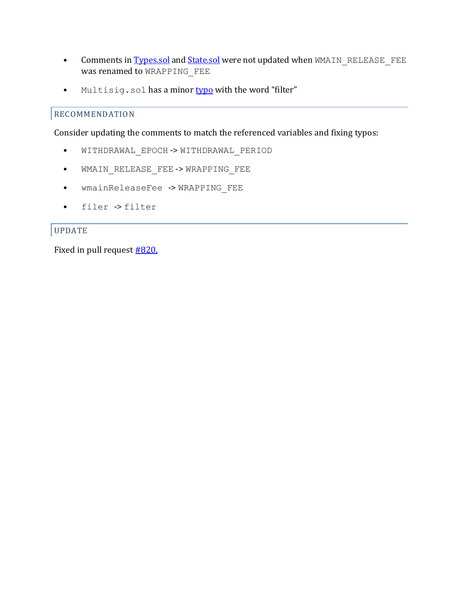- Comments i[n Types.sol](https://github.com/dcSpark/milkomeda-validator/tree/860d5c4cb34e3a5ed6bfcd6d22e67010dd80e02a/m1/contracts/src/Types.sol#L35) an[d State.sol](https://github.com/dcSpark/milkomeda-validator/tree/860d5c4cb34e3a5ed6bfcd6d22e67010dd80e02a/m1/contracts/src/State.sol#L67) were not updated when WMAIN\_RELEASE\_FEE was renamed to WRAPPING FEE
- Multisig.sol has a minor [typo](https://github.com/dcSpark/milkomeda-validator/tree/860d5c4cb34e3a5ed6bfcd6d22e67010dd80e02a/m1/contracts/src/Multisig.sol#L304) with the word "filter"

# RECOMMENDATION

Consider updating the comments to match the referenced variables and fixing typos:

- Ȉ WITHDRAWAL\_EPOCH -> WITHDRAWAL\_PERIOD
- Ȉ WMAIN\_RELEASE\_FEE -> WRAPPING\_FEE
- Ȉ wmainReleaseFee -> WRAPPING\_FEE
- Ȉ filer -> filter

# UPDATE

Fixed in pull request **#820.**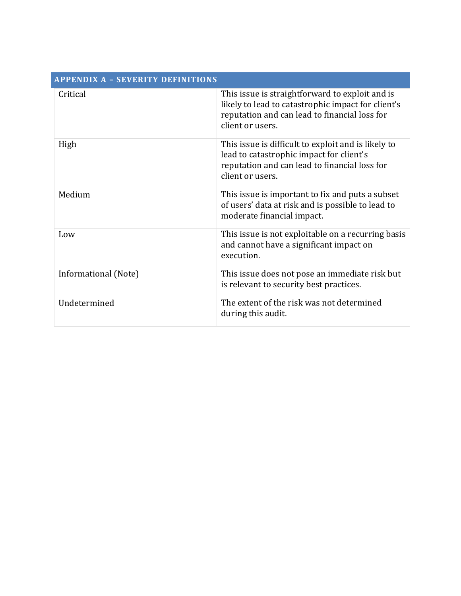<span id="page-19-0"></span>

| <b>APPENDIX A - SEVERITY DEFINITIONS</b> |                                                                                                                                                                            |  |
|------------------------------------------|----------------------------------------------------------------------------------------------------------------------------------------------------------------------------|--|
| Critical                                 | This issue is straightforward to exploit and is<br>likely to lead to catastrophic impact for client's<br>reputation and can lead to financial loss for<br>client or users. |  |
| High                                     | This issue is difficult to exploit and is likely to<br>lead to catastrophic impact for client's<br>reputation and can lead to financial loss for<br>client or users.       |  |
| Medium                                   | This issue is important to fix and puts a subset<br>of users' data at risk and is possible to lead to<br>moderate financial impact.                                        |  |
| Low                                      | This issue is not exploitable on a recurring basis<br>and cannot have a significant impact on<br>execution.                                                                |  |
| Informational (Note)                     | This issue does not pose an immediate risk but<br>is relevant to security best practices.                                                                                  |  |
| Undetermined                             | The extent of the risk was not determined<br>during this audit.                                                                                                            |  |